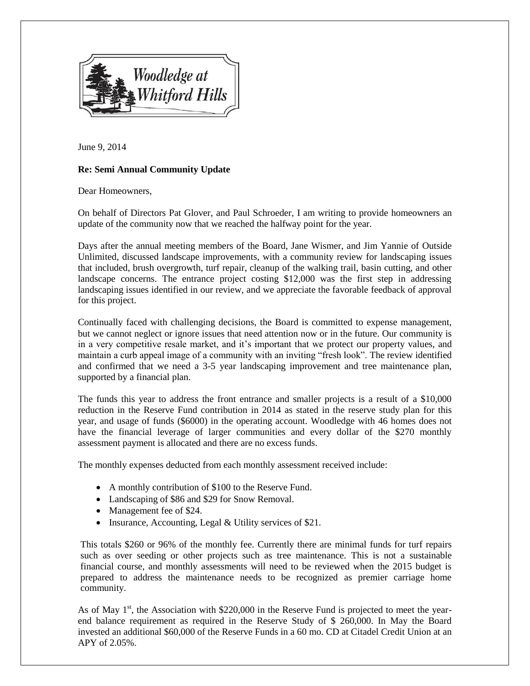

June 9, 2014

## **Re: Semi Annual Community Update**

Dear Homeowners,

On behalf of Directors Pat Glover, and Paul Schroeder, I am writing to provide homeowners an update of the community now that we reached the halfway point for the year.

Days after the annual meeting members of the Board, Jane Wismer, and Jim Yannie of Outside Unlimited, discussed landscape improvements, with a community review for landscaping issues that included, brush overgrowth, turf repair, cleanup of the walking trail, basin cutting, and other landscape concerns. The entrance project costing \$12,000 was the first step in addressing landscaping issues identified in our review, and we appreciate the favorable feedback of approval for this project.

Continually faced with challenging decisions, the Board is committed to expense management, but we cannot neglect or ignore issues that need attention now or in the future. Our community is in a very competitive resale market, and it's important that we protect our property values, and maintain a curb appeal image of a community with an inviting "fresh look". The review identified and confirmed that we need a 3-5 year landscaping improvement and tree maintenance plan, supported by a financial plan.

The funds this year to address the front entrance and smaller projects is a result of a \$10,000 reduction in the Reserve Fund contribution in 2014 as stated in the reserve study plan for this year, and usage of funds (\$6000) in the operating account. Woodledge with 46 homes does not have the financial leverage of larger communities and every dollar of the \$270 monthly assessment payment is allocated and there are no excess funds.

The monthly expenses deducted from each monthly assessment received include:

- A monthly contribution of \$100 to the Reserve Fund.
- Landscaping of \$86 and \$29 for Snow Removal.
- Management fee of \$24.
- Insurance, Accounting, Legal & Utility services of \$21.

This totals \$260 or 96% of the monthly fee. Currently there are minimal funds for turf repairs such as over seeding or other projects such as tree maintenance. This is not a sustainable financial course, and monthly assessments will need to be reviewed when the 2015 budget is prepared to address the maintenance needs to be recognized as premier carriage home community.

As of May  $1<sup>st</sup>$ , the Association with \$220,000 in the Reserve Fund is projected to meet the yearend balance requirement as required in the Reserve Study of \$ 260,000. In May the Board invested an additional \$60,000 of the Reserve Funds in a 60 mo. CD at Citadel Credit Union at an APY of 2.05%.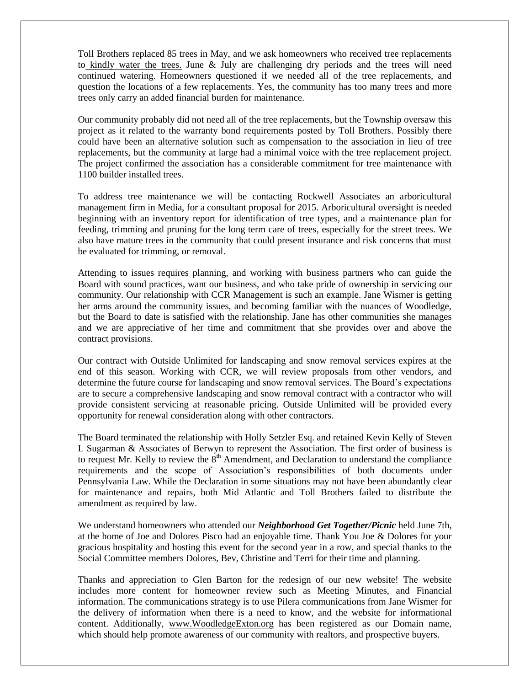Toll Brothers replaced 85 trees in May, and we ask homeowners who received tree replacements to kindly water the trees. June  $\&$  July are challenging dry periods and the trees will need continued watering. Homeowners questioned if we needed all of the tree replacements, and question the locations of a few replacements. Yes, the community has too many trees and more trees only carry an added financial burden for maintenance.

Our community probably did not need all of the tree replacements, but the Township oversaw this project as it related to the warranty bond requirements posted by Toll Brothers. Possibly there could have been an alternative solution such as compensation to the association in lieu of tree replacements, but the community at large had a minimal voice with the tree replacement project. The project confirmed the association has a considerable commitment for tree maintenance with 1100 builder installed trees.

To address tree maintenance we will be contacting Rockwell Associates an arboricultural management firm in Media, for a consultant proposal for 2015. Arboricultural oversight is needed beginning with an inventory report for identification of tree types, and a maintenance plan for feeding, trimming and pruning for the long term care of trees, especially for the street trees. We also have mature trees in the community that could present insurance and risk concerns that must be evaluated for trimming, or removal.

Attending to issues requires planning, and working with business partners who can guide the Board with sound practices, want our business, and who take pride of ownership in servicing our community. Our relationship with CCR Management is such an example. Jane Wismer is getting her arms around the community issues, and becoming familiar with the nuances of Woodledge, but the Board to date is satisfied with the relationship. Jane has other communities she manages and we are appreciative of her time and commitment that she provides over and above the contract provisions.

Our contract with Outside Unlimited for landscaping and snow removal services expires at the end of this season. Working with CCR, we will review proposals from other vendors, and determine the future course for landscaping and snow removal services. The Board's expectations are to secure a comprehensive landscaping and snow removal contract with a contractor who will provide consistent servicing at reasonable pricing. Outside Unlimited will be provided every opportunity for renewal consideration along with other contractors.

The Board terminated the relationship with Holly Setzler Esq. and retained Kevin Kelly of Steven L Sugarman & Associates of Berwyn to represent the Association. The first order of business is to request Mr. Kelly to review the  $8<sup>th</sup>$  Amendment, and Declaration to understand the compliance requirements and the scope of Association's responsibilities of both documents under Pennsylvania Law. While the Declaration in some situations may not have been abundantly clear for maintenance and repairs, both Mid Atlantic and Toll Brothers failed to distribute the amendment as required by law.

We understand homeowners who attended our *Neighborhood Get Together/Picnic* held June 7th, at the home of Joe and Dolores Pisco had an enjoyable time. Thank You Joe & Dolores for your gracious hospitality and hosting this event for the second year in a row, and special thanks to the Social Committee members Dolores, Bev, Christine and Terri for their time and planning.

Thanks and appreciation to Glen Barton for the redesign of our new website! The website includes more content for homeowner review such as Meeting Minutes, and Financial information. The communications strategy is to use Pilera communications from Jane Wismer for the delivery of information when there is a need to know, and the website for informational content. Additionally, www.WoodledgeExton.org has been registered as our Domain name, which should help promote awareness of our community with realtors, and prospective buyers.